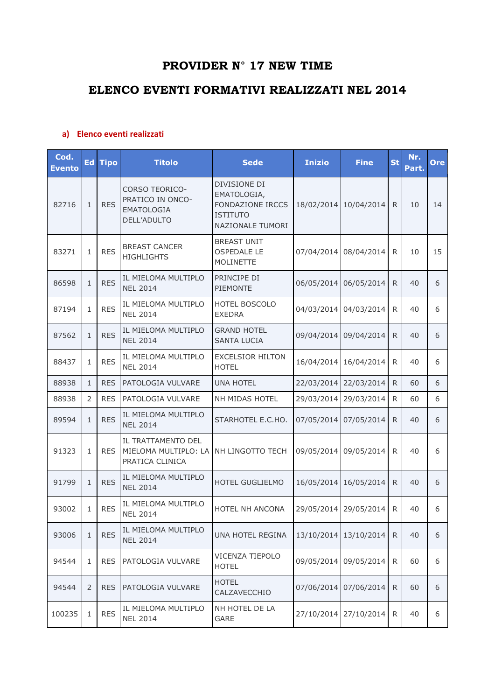## **PROVIDER N° 17 NEW TIME**

## **ELENCO EVENTI FORMATIVI REALIZZATI NEL 2014**

## **a) Elenco eventi realizzati**

| Cod.<br><b>Evento</b> | Ed             | <b>Tipo</b> | <b>Titolo</b>                                                                 | <b>Sede</b>                                                                                   | <b>Inizio</b> | <b>Fine</b> | <b>St</b> | Nr.<br>Part. | Ore |
|-----------------------|----------------|-------------|-------------------------------------------------------------------------------|-----------------------------------------------------------------------------------------------|---------------|-------------|-----------|--------------|-----|
| 82716                 | $\mathbf{1}$   | <b>RES</b>  | <b>CORSO TEORICO-</b><br>PRATICO IN ONCO-<br><b>EMATOLOGIA</b><br>DELL'ADULTO | DIVISIONE DI<br>EMATOLOGIA,<br><b>FONDAZIONE IRCCS</b><br><b>ISTITUTO</b><br>NAZIONALE TUMORI | 18/02/2014    | 10/04/2014  | R.        | 10           | 14  |
| 83271                 | 1              | <b>RES</b>  | <b>BREAST CANCER</b><br><b>HIGHLIGHTS</b>                                     | <b>BREAST UNIT</b><br><b>OSPEDALE LE</b><br><b>MOLINETTE</b>                                  | 07/04/2014    | 08/04/2014  | R.        | 10           | 15  |
| 86598                 | $\mathbf{1}$   | <b>RES</b>  | IL MIELOMA MULTIPLO<br><b>NEL 2014</b>                                        | PRINCIPE DI<br><b>PIEMONTE</b>                                                                | 06/05/2014    | 06/05/2014  | R.        | 40           | 6   |
| 87194                 | $\mathbf{1}$   | <b>RES</b>  | IL MIELOMA MULTIPLO<br><b>NEL 2014</b>                                        | HOTEL BOSCOLO<br><b>EXEDRA</b>                                                                | 04/03/2014    | 04/03/2014  | R.        | 40           | 6   |
| 87562                 | $\mathbf{1}$   | <b>RES</b>  | IL MIELOMA MULTIPLO<br><b>NEL 2014</b>                                        | <b>GRAND HOTEL</b><br><b>SANTA LUCIA</b>                                                      | 09/04/2014    | 09/04/2014  | R.        | 40           | 6   |
| 88437                 | $\mathbf{1}$   | <b>RES</b>  | IL MIELOMA MULTIPLO<br><b>NEL 2014</b>                                        | <b>EXCELSIOR HILTON</b><br><b>HOTEL</b>                                                       | 16/04/2014    | 16/04/2014  | R.        | 40           | 6   |
| 88938                 | $\mathbf{1}$   | <b>RES</b>  | PATOLOGIA VULVARE                                                             | <b>UNA HOTEL</b>                                                                              | 22/03/2014    | 22/03/2014  | R.        | 60           | 6   |
| 88938                 | 2              | <b>RES</b>  | PATOLOGIA VULVARE                                                             | NH MIDAS HOTEL                                                                                | 29/03/2014    | 29/03/2014  | R.        | 60           | 6   |
| 89594                 | $\mathbf{1}$   | <b>RES</b>  | IL MIELOMA MULTIPLO<br><b>NEL 2014</b>                                        | STARHOTEL E.C.HO.                                                                             | 07/05/2014    | 07/05/2014  | R.        | 40           | 6   |
| 91323                 | 1              | <b>RES</b>  | IL TRATTAMENTO DEL<br>MIELOMA MULTIPLO: LA<br>PRATICA CLINICA                 | NH LINGOTTO TECH                                                                              | 09/05/2014    | 09/05/2014  | R.        | 40           | 6   |
| 91799                 | $\mathbf{1}$   | <b>RES</b>  | IL MIELOMA MULTIPLO<br><b>NEL 2014</b>                                        | HOTEL GUGLIELMO                                                                               | 16/05/2014    | 16/05/2014  | R.        | 40           | 6   |
| 93002                 | 1              | <b>RES</b>  | IL MIELOMA MULTIPLO<br><b>NEL 2014</b>                                        | <b>HOTEL NH ANCONA</b>                                                                        | 29/05/2014    | 29/05/2014  | R.        | 40           | 6   |
| 93006                 | $\mathbf{1}$   | <b>RES</b>  | IL MIELOMA MULTIPLO<br><b>NEL 2014</b>                                        | UNA HOTEL REGINA                                                                              | 13/10/2014    | 13/10/2014  | R.        | 40           | 6   |
| 94544                 | 1              | <b>RES</b>  | PATOLOGIA VULVARE                                                             | VICENZA TIEPOLO<br><b>HOTEL</b>                                                               | 09/05/2014    | 09/05/2014  | R         | 60           | 6   |
| 94544                 | $\overline{2}$ | <b>RES</b>  | PATOLOGIA VULVARE                                                             | <b>HOTEL</b><br>CALZAVECCHIO                                                                  | 07/06/2014    | 07/06/2014  | R         | 60           | 6   |
| 100235                | 1              | <b>RES</b>  | IL MIELOMA MULTIPLO<br><b>NEL 2014</b>                                        | NH HOTEL DE LA<br><b>GARE</b>                                                                 | 27/10/2014    | 27/10/2014  | R         | 40           | 6   |